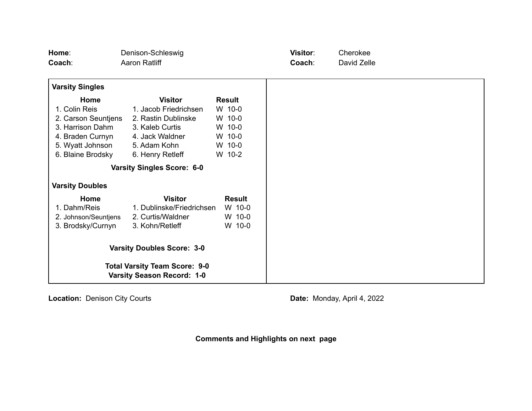| Home:                                                                     | Denison-Schleswig                 |               | Visitor: | Cherokee    |  |
|---------------------------------------------------------------------------|-----------------------------------|---------------|----------|-------------|--|
| Coach:                                                                    | Aaron Ratliff                     |               | Coach:   | David Zelle |  |
|                                                                           |                                   |               |          |             |  |
| <b>Varsity Singles</b>                                                    |                                   |               |          |             |  |
| Home                                                                      | <b>Visitor</b>                    | <b>Result</b> |          |             |  |
| 1. Colin Reis                                                             | 1. Jacob Friedrichsen             | W 10-0        |          |             |  |
| 2. Carson Seuntjens                                                       | 2. Rastin Dublinske               | W 10-0        |          |             |  |
| 3. Harrison Dahm                                                          | 3. Kaleb Curtis                   | W 10-0        |          |             |  |
| 4. Braden Curnyn                                                          | 4. Jack Waldner                   | W 10-0        |          |             |  |
| 5. Wyatt Johnson                                                          | 5. Adam Kohn                      | W 10-0        |          |             |  |
| 6. Blaine Brodsky                                                         | 6. Henry Retleff                  | W 10-2        |          |             |  |
|                                                                           | <b>Varsity Singles Score: 6-0</b> |               |          |             |  |
| <b>Varsity Doubles</b>                                                    |                                   |               |          |             |  |
| Home                                                                      | <b>Visitor</b>                    | <b>Result</b> |          |             |  |
| 1. Dahm/Reis                                                              | 1. Dublinske/Friedrichsen         | W 10-0        |          |             |  |
| 2. Johnson/Seuntjens                                                      | 2. Curtis/Waldner                 | W 10-0        |          |             |  |
| 3. Brodsky/Curnyn                                                         | 3. Kohn/Retleff                   | W 10-0        |          |             |  |
|                                                                           | <b>Varsity Doubles Score: 3-0</b> |               |          |             |  |
| <b>Total Varsity Team Score: 9-0</b><br><b>Varsity Season Record: 1-0</b> |                                   |               |          |             |  |

**Location:** Denison City Courts **Date: Date:** Monday, April 4, 2022

**Comments and Highlights on next page**